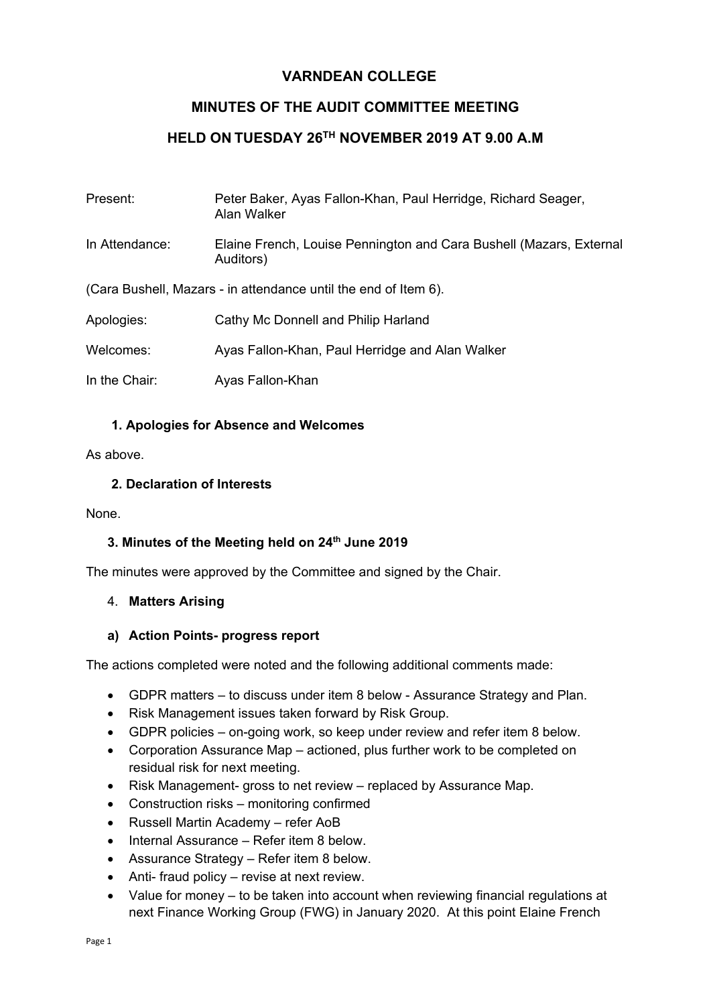# **VARNDEAN COLLEGE**

# **MINUTES OF THE AUDIT COMMITTEE MEETING**

## **HELD ON TUESDAY 26TH NOVEMBER 2019 AT 9.00 A.M**

| Present:                                                        | Peter Baker, Ayas Fallon-Khan, Paul Herridge, Richard Seager,<br>Alan Walker     |
|-----------------------------------------------------------------|----------------------------------------------------------------------------------|
| In Attendance:                                                  | Elaine French, Louise Pennington and Cara Bushell (Mazars, External<br>Auditors) |
| (Cara Bushell, Mazars - in attendance until the end of Item 6). |                                                                                  |
| Apologies:                                                      | Cathy Mc Donnell and Philip Harland                                              |
| Welcomes:                                                       | Ayas Fallon-Khan, Paul Herridge and Alan Walker                                  |
| In the Chair:                                                   | Ayas Fallon-Khan                                                                 |

### **1. Apologies for Absence and Welcomes**

As above.

### **2. Declaration of Interests**

None.

### **3. Minutes of the Meeting held on 24th June 2019**

The minutes were approved by the Committee and signed by the Chair.

### 4. **Matters Arising**

### **a) Action Points- progress report**

The actions completed were noted and the following additional comments made:

- GDPR matters to discuss under item 8 below Assurance Strategy and Plan.
- Risk Management issues taken forward by Risk Group.
- GDPR policies on-going work, so keep under review and refer item 8 below.
- Corporation Assurance Map actioned, plus further work to be completed on residual risk for next meeting.
- Risk Management- gross to net review replaced by Assurance Map.
- Construction risks monitoring confirmed
- Russell Martin Academy refer AoB
- Internal Assurance Refer item 8 below.
- Assurance Strategy Refer item 8 below.
- Anti- fraud policy revise at next review.
- Value for money to be taken into account when reviewing financial regulations at next Finance Working Group (FWG) in January 2020. At this point Elaine French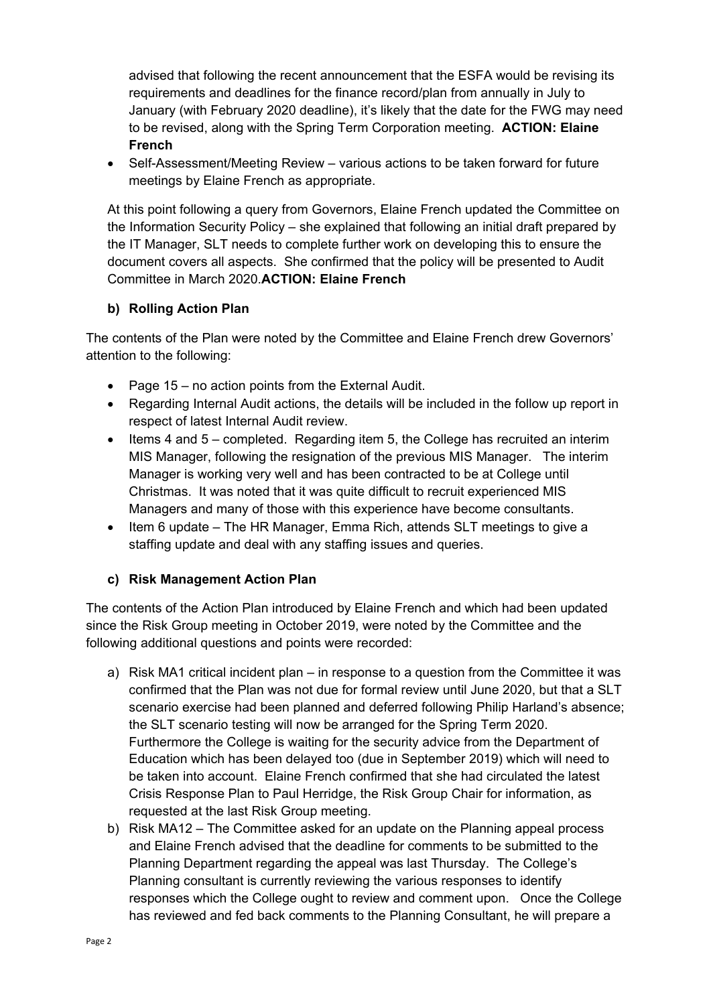advised that following the recent announcement that the ESFA would be revising its requirements and deadlines for the finance record/plan from annually in July to January (with February 2020 deadline), it's likely that the date for the FWG may need to be revised, along with the Spring Term Corporation meeting. **ACTION: Elaine French**

• Self-Assessment/Meeting Review – various actions to be taken forward for future meetings by Elaine French as appropriate.

At this point following a query from Governors, Elaine French updated the Committee on the Information Security Policy – she explained that following an initial draft prepared by the IT Manager, SLT needs to complete further work on developing this to ensure the document covers all aspects. She confirmed that the policy will be presented to Audit Committee in March 2020.**ACTION: Elaine French**

## **b) Rolling Action Plan**

The contents of the Plan were noted by the Committee and Elaine French drew Governors' attention to the following:

- Page 15 no action points from the External Audit.
- Regarding Internal Audit actions, the details will be included in the follow up report in respect of latest Internal Audit review.
- Items 4 and 5 completed. Regarding item 5, the College has recruited an interim MIS Manager, following the resignation of the previous MIS Manager. The interim Manager is working very well and has been contracted to be at College until Christmas. It was noted that it was quite difficult to recruit experienced MIS Managers and many of those with this experience have become consultants.
- Item 6 update The HR Manager, Emma Rich, attends SLT meetings to give a staffing update and deal with any staffing issues and queries.

## **c) Risk Management Action Plan**

The contents of the Action Plan introduced by Elaine French and which had been updated since the Risk Group meeting in October 2019, were noted by the Committee and the following additional questions and points were recorded:

- a) Risk MA1 critical incident plan in response to a question from the Committee it was confirmed that the Plan was not due for formal review until June 2020, but that a SLT scenario exercise had been planned and deferred following Philip Harland's absence; the SLT scenario testing will now be arranged for the Spring Term 2020. Furthermore the College is waiting for the security advice from the Department of Education which has been delayed too (due in September 2019) which will need to be taken into account. Elaine French confirmed that she had circulated the latest Crisis Response Plan to Paul Herridge, the Risk Group Chair for information, as requested at the last Risk Group meeting.
- b) Risk MA12 The Committee asked for an update on the Planning appeal process and Elaine French advised that the deadline for comments to be submitted to the Planning Department regarding the appeal was last Thursday. The College's Planning consultant is currently reviewing the various responses to identify responses which the College ought to review and comment upon. Once the College has reviewed and fed back comments to the Planning Consultant, he will prepare a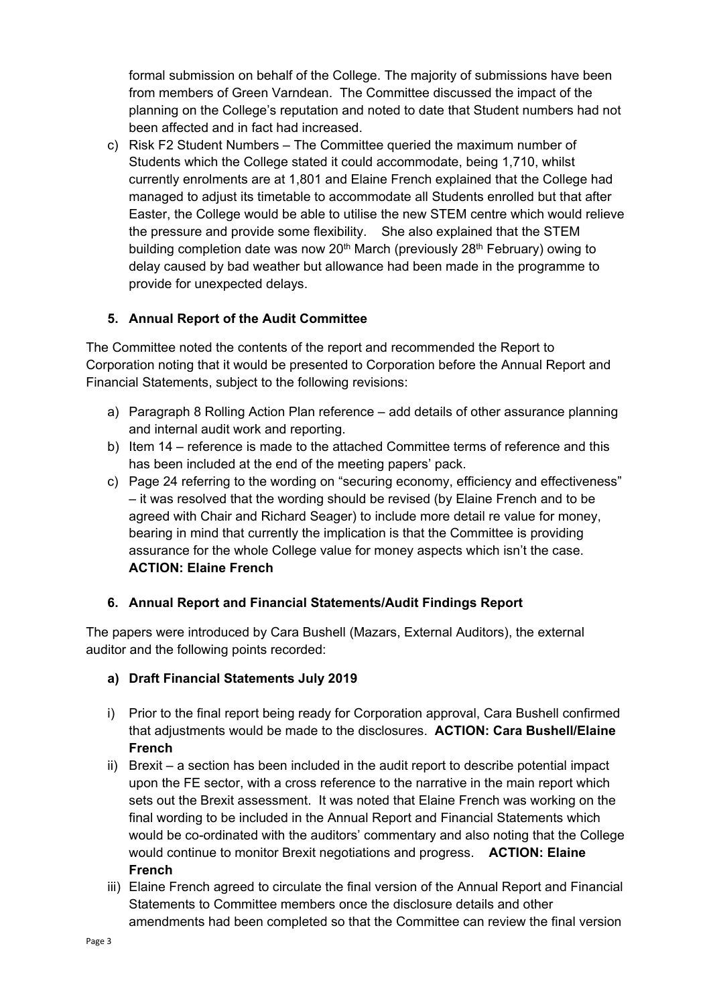formal submission on behalf of the College. The majority of submissions have been from members of Green Varndean. The Committee discussed the impact of the planning on the College's reputation and noted to date that Student numbers had not been affected and in fact had increased.

c) Risk F2 Student Numbers – The Committee queried the maximum number of Students which the College stated it could accommodate, being 1,710, whilst currently enrolments are at 1,801 and Elaine French explained that the College had managed to adjust its timetable to accommodate all Students enrolled but that after Easter, the College would be able to utilise the new STEM centre which would relieve the pressure and provide some flexibility. She also explained that the STEM building completion date was now  $20<sup>th</sup>$  March (previously  $28<sup>th</sup>$  February) owing to delay caused by bad weather but allowance had been made in the programme to provide for unexpected delays.

## **5. Annual Report of the Audit Committee**

The Committee noted the contents of the report and recommended the Report to Corporation noting that it would be presented to Corporation before the Annual Report and Financial Statements, subject to the following revisions:

- a) Paragraph 8 Rolling Action Plan reference add details of other assurance planning and internal audit work and reporting.
- b) Item 14 reference is made to the attached Committee terms of reference and this has been included at the end of the meeting papers' pack.
- c) Page 24 referring to the wording on "securing economy, efficiency and effectiveness" – it was resolved that the wording should be revised (by Elaine French and to be agreed with Chair and Richard Seager) to include more detail re value for money, bearing in mind that currently the implication is that the Committee is providing assurance for the whole College value for money aspects which isn't the case. **ACTION: Elaine French**

## **6. Annual Report and Financial Statements/Audit Findings Report**

The papers were introduced by Cara Bushell (Mazars, External Auditors), the external auditor and the following points recorded:

## **a) Draft Financial Statements July 2019**

- i) Prior to the final report being ready for Corporation approval, Cara Bushell confirmed that adjustments would be made to the disclosures. **ACTION: Cara Bushell/Elaine French**
- ii) Brexit a section has been included in the audit report to describe potential impact upon the FE sector, with a cross reference to the narrative in the main report which sets out the Brexit assessment. It was noted that Elaine French was working on the final wording to be included in the Annual Report and Financial Statements which would be co-ordinated with the auditors' commentary and also noting that the College would continue to monitor Brexit negotiations and progress. **ACTION: Elaine French**
- iii) Elaine French agreed to circulate the final version of the Annual Report and Financial Statements to Committee members once the disclosure details and other amendments had been completed so that the Committee can review the final version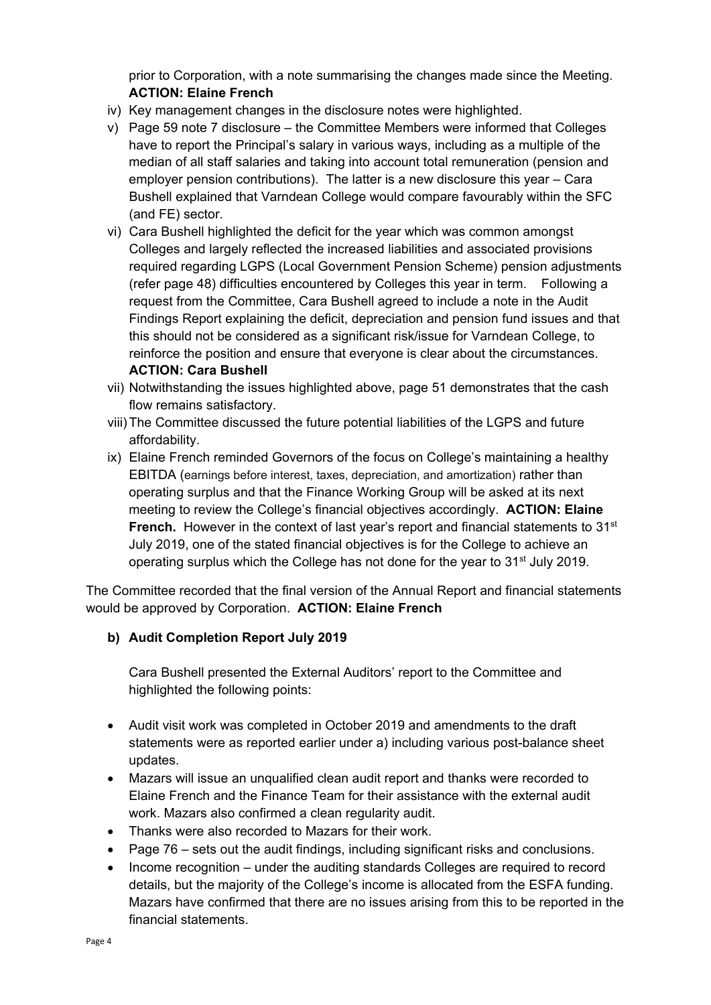prior to Corporation, with a note summarising the changes made since the Meeting. **ACTION: Elaine French**

- iv) Key management changes in the disclosure notes were highlighted.
- v) Page 59 note 7 disclosure the Committee Members were informed that Colleges have to report the Principal's salary in various ways, including as a multiple of the median of all staff salaries and taking into account total remuneration (pension and employer pension contributions). The latter is a new disclosure this year – Cara Bushell explained that Varndean College would compare favourably within the SFC (and FE) sector.
- vi) Cara Bushell highlighted the deficit for the year which was common amongst Colleges and largely reflected the increased liabilities and associated provisions required regarding LGPS (Local Government Pension Scheme) pension adjustments (refer page 48) difficulties encountered by Colleges this year in term. Following a request from the Committee, Cara Bushell agreed to include a note in the Audit Findings Report explaining the deficit, depreciation and pension fund issues and that this should not be considered as a significant risk/issue for Varndean College, to reinforce the position and ensure that everyone is clear about the circumstances. **ACTION: Cara Bushell**
- vii) Notwithstanding the issues highlighted above, page 51 demonstrates that the cash flow remains satisfactory.
- viii)The Committee discussed the future potential liabilities of the LGPS and future affordability.
- ix) Elaine French reminded Governors of the focus on College's maintaining a healthy EBITDA (earnings before interest, taxes, depreciation, and amortization) rather than operating surplus and that the Finance Working Group will be asked at its next meeting to review the College's financial objectives accordingly. **ACTION: Elaine French.** However in the context of last year's report and financial statements to 31<sup>st</sup> July 2019, one of the stated financial objectives is for the College to achieve an operating surplus which the College has not done for the year to  $31<sup>st</sup>$  July 2019.

The Committee recorded that the final version of the Annual Report and financial statements would be approved by Corporation. **ACTION: Elaine French**

## **b) Audit Completion Report July 2019**

Cara Bushell presented the External Auditors' report to the Committee and highlighted the following points:

- Audit visit work was completed in October 2019 and amendments to the draft statements were as reported earlier under a) including various post-balance sheet updates.
- Mazars will issue an unqualified clean audit report and thanks were recorded to Elaine French and the Finance Team for their assistance with the external audit work. Mazars also confirmed a clean regularity audit.
- Thanks were also recorded to Mazars for their work.
- Page 76 sets out the audit findings, including significant risks and conclusions.
- Income recognition under the auditing standards Colleges are required to record details, but the majority of the College's income is allocated from the ESFA funding. Mazars have confirmed that there are no issues arising from this to be reported in the financial statements.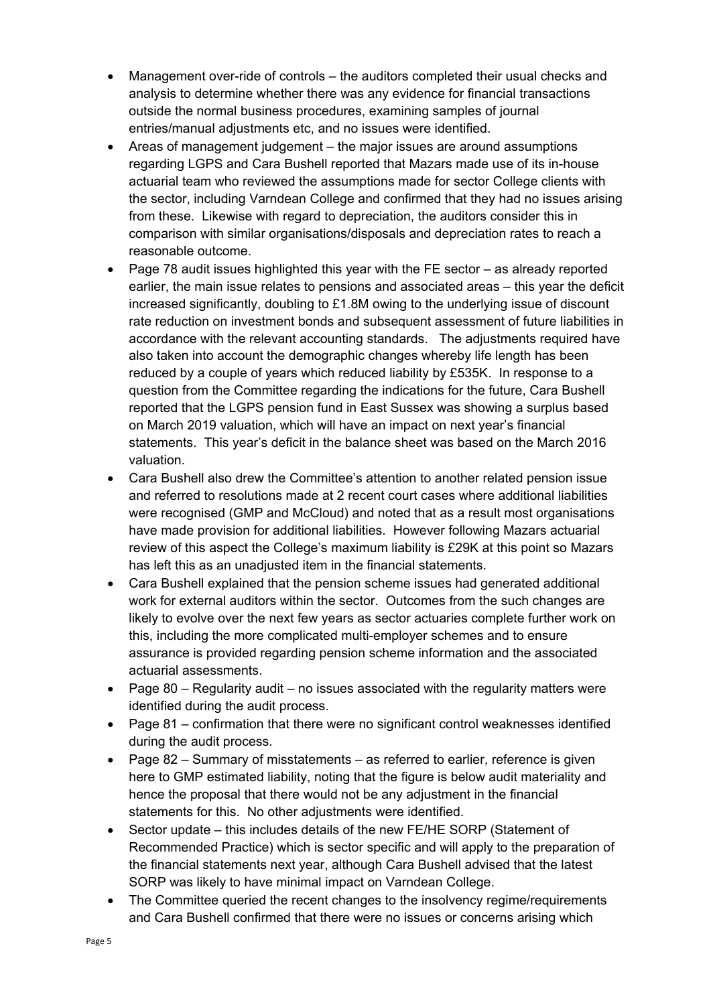- Management over-ride of controls the auditors completed their usual checks and analysis to determine whether there was any evidence for financial transactions outside the normal business procedures, examining samples of journal entries/manual adjustments etc, and no issues were identified.
- Areas of management judgement the major issues are around assumptions regarding LGPS and Cara Bushell reported that Mazars made use of its in-house actuarial team who reviewed the assumptions made for sector College clients with the sector, including Varndean College and confirmed that they had no issues arising from these. Likewise with regard to depreciation, the auditors consider this in comparison with similar organisations/disposals and depreciation rates to reach a reasonable outcome.
- Page 78 audit issues highlighted this year with the FE sector as already reported earlier, the main issue relates to pensions and associated areas – this year the deficit increased significantly, doubling to £1.8M owing to the underlying issue of discount rate reduction on investment bonds and subsequent assessment of future liabilities in accordance with the relevant accounting standards. The adjustments required have also taken into account the demographic changes whereby life length has been reduced by a couple of years which reduced liability by £535K. In response to a question from the Committee regarding the indications for the future, Cara Bushell reported that the LGPS pension fund in East Sussex was showing a surplus based on March 2019 valuation, which will have an impact on next year's financial statements. This year's deficit in the balance sheet was based on the March 2016 valuation.
- Cara Bushell also drew the Committee's attention to another related pension issue and referred to resolutions made at 2 recent court cases where additional liabilities were recognised (GMP and McCloud) and noted that as a result most organisations have made provision for additional liabilities. However following Mazars actuarial review of this aspect the College's maximum liability is £29K at this point so Mazars has left this as an unadjusted item in the financial statements.
- Cara Bushell explained that the pension scheme issues had generated additional work for external auditors within the sector. Outcomes from the such changes are likely to evolve over the next few years as sector actuaries complete further work on this, including the more complicated multi-employer schemes and to ensure assurance is provided regarding pension scheme information and the associated actuarial assessments.
- Page  $80$  Regularity audit no issues associated with the regularity matters were identified during the audit process.
- Page 81 confirmation that there were no significant control weaknesses identified during the audit process.
- Page 82 Summary of misstatements as referred to earlier, reference is given here to GMP estimated liability, noting that the figure is below audit materiality and hence the proposal that there would not be any adjustment in the financial statements for this. No other adjustments were identified.
- Sector update this includes details of the new FE/HE SORP (Statement of Recommended Practice) which is sector specific and will apply to the preparation of the financial statements next year, although Cara Bushell advised that the latest SORP was likely to have minimal impact on Varndean College.
- The Committee queried the recent changes to the insolvency regime/requirements and Cara Bushell confirmed that there were no issues or concerns arising which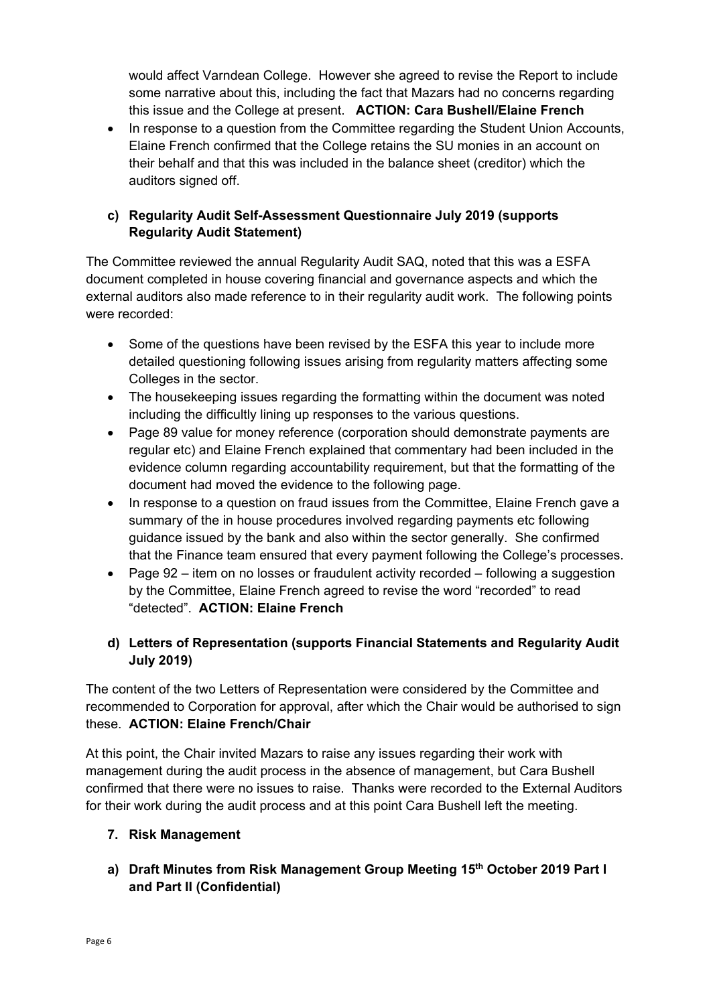would affect Varndean College. However she agreed to revise the Report to include some narrative about this, including the fact that Mazars had no concerns regarding this issue and the College at present. **ACTION: Cara Bushell/Elaine French**

• In response to a question from the Committee regarding the Student Union Accounts, Elaine French confirmed that the College retains the SU monies in an account on their behalf and that this was included in the balance sheet (creditor) which the auditors signed off.

## **c) Regularity Audit Self-Assessment Questionnaire July 2019 (supports Regularity Audit Statement)**

The Committee reviewed the annual Regularity Audit SAQ, noted that this was a ESFA document completed in house covering financial and governance aspects and which the external auditors also made reference to in their regularity audit work. The following points were recorded:

- Some of the questions have been revised by the ESFA this year to include more detailed questioning following issues arising from regularity matters affecting some Colleges in the sector.
- The housekeeping issues regarding the formatting within the document was noted including the difficultly lining up responses to the various questions.
- Page 89 value for money reference (corporation should demonstrate payments are regular etc) and Elaine French explained that commentary had been included in the evidence column regarding accountability requirement, but that the formatting of the document had moved the evidence to the following page.
- In response to a question on fraud issues from the Committee, Elaine French gave a summary of the in house procedures involved regarding payments etc following guidance issued by the bank and also within the sector generally. She confirmed that the Finance team ensured that every payment following the College's processes.
- Page 92 item on no losses or fraudulent activity recorded following a suggestion by the Committee, Elaine French agreed to revise the word "recorded" to read "detected". **ACTION: Elaine French**

# **d) Letters of Representation (supports Financial Statements and Regularity Audit July 2019)**

The content of the two Letters of Representation were considered by the Committee and recommended to Corporation for approval, after which the Chair would be authorised to sign these. **ACTION: Elaine French/Chair**

At this point, the Chair invited Mazars to raise any issues regarding their work with management during the audit process in the absence of management, but Cara Bushell confirmed that there were no issues to raise. Thanks were recorded to the External Auditors for their work during the audit process and at this point Cara Bushell left the meeting.

# **7. Risk Management**

**a) Draft Minutes from Risk Management Group Meeting 15th October 2019 Part I and Part II (Confidential)**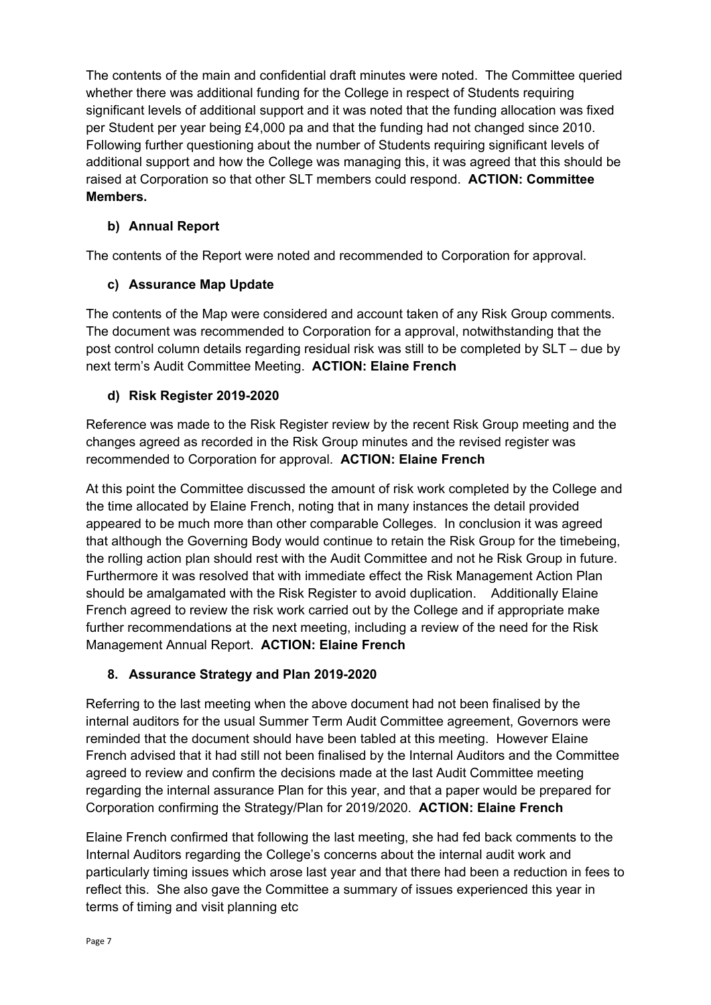The contents of the main and confidential draft minutes were noted. The Committee queried whether there was additional funding for the College in respect of Students requiring significant levels of additional support and it was noted that the funding allocation was fixed per Student per year being £4,000 pa and that the funding had not changed since 2010. Following further questioning about the number of Students requiring significant levels of additional support and how the College was managing this, it was agreed that this should be raised at Corporation so that other SLT members could respond. **ACTION: Committee Members.**

## **b) Annual Report**

The contents of the Report were noted and recommended to Corporation for approval.

## **c) Assurance Map Update**

The contents of the Map were considered and account taken of any Risk Group comments. The document was recommended to Corporation for a approval, notwithstanding that the post control column details regarding residual risk was still to be completed by SLT – due by next term's Audit Committee Meeting. **ACTION: Elaine French**

## **d) Risk Register 2019-2020**

Reference was made to the Risk Register review by the recent Risk Group meeting and the changes agreed as recorded in the Risk Group minutes and the revised register was recommended to Corporation for approval. **ACTION: Elaine French**

At this point the Committee discussed the amount of risk work completed by the College and the time allocated by Elaine French, noting that in many instances the detail provided appeared to be much more than other comparable Colleges. In conclusion it was agreed that although the Governing Body would continue to retain the Risk Group for the timebeing, the rolling action plan should rest with the Audit Committee and not he Risk Group in future. Furthermore it was resolved that with immediate effect the Risk Management Action Plan should be amalgamated with the Risk Register to avoid duplication. Additionally Elaine French agreed to review the risk work carried out by the College and if appropriate make further recommendations at the next meeting, including a review of the need for the Risk Management Annual Report. **ACTION: Elaine French**

## **8. Assurance Strategy and Plan 2019-2020**

Referring to the last meeting when the above document had not been finalised by the internal auditors for the usual Summer Term Audit Committee agreement, Governors were reminded that the document should have been tabled at this meeting. However Elaine French advised that it had still not been finalised by the Internal Auditors and the Committee agreed to review and confirm the decisions made at the last Audit Committee meeting regarding the internal assurance Plan for this year, and that a paper would be prepared for Corporation confirming the Strategy/Plan for 2019/2020. **ACTION: Elaine French**

Elaine French confirmed that following the last meeting, she had fed back comments to the Internal Auditors regarding the College's concerns about the internal audit work and particularly timing issues which arose last year and that there had been a reduction in fees to reflect this. She also gave the Committee a summary of issues experienced this year in terms of timing and visit planning etc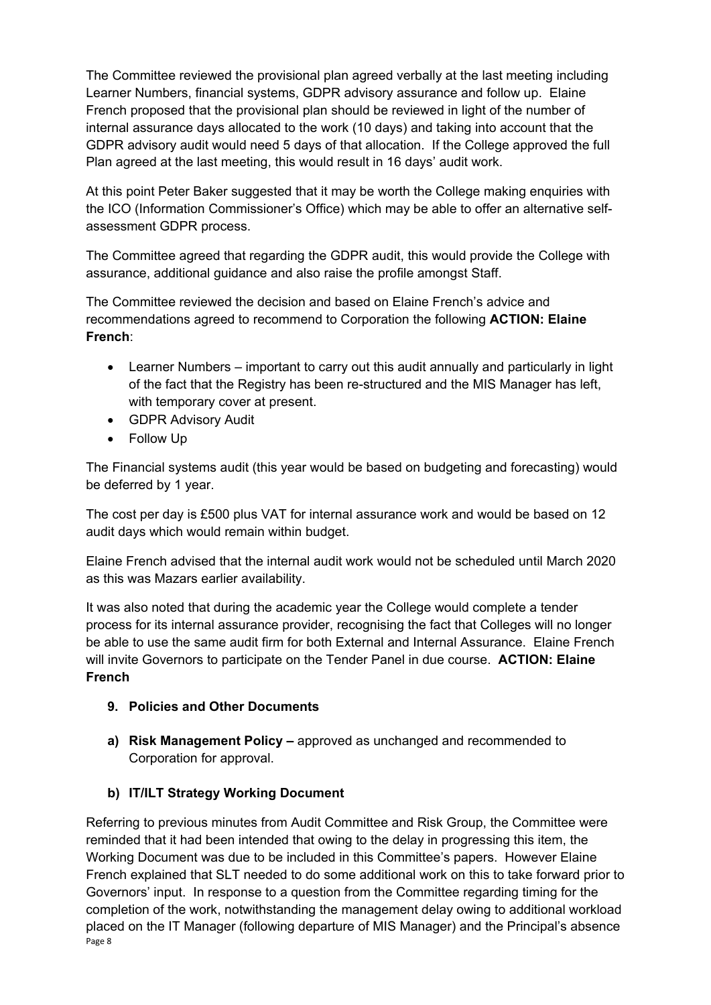The Committee reviewed the provisional plan agreed verbally at the last meeting including Learner Numbers, financial systems, GDPR advisory assurance and follow up. Elaine French proposed that the provisional plan should be reviewed in light of the number of internal assurance days allocated to the work (10 days) and taking into account that the GDPR advisory audit would need 5 days of that allocation. If the College approved the full Plan agreed at the last meeting, this would result in 16 days' audit work.

At this point Peter Baker suggested that it may be worth the College making enquiries with the ICO (Information Commissioner's Office) which may be able to offer an alternative selfassessment GDPR process.

The Committee agreed that regarding the GDPR audit, this would provide the College with assurance, additional guidance and also raise the profile amongst Staff.

The Committee reviewed the decision and based on Elaine French's advice and recommendations agreed to recommend to Corporation the following **ACTION: Elaine French**:

- Learner Numbers important to carry out this audit annually and particularly in light of the fact that the Registry has been re-structured and the MIS Manager has left, with temporary cover at present.
- GDPR Advisory Audit
- Follow Up

The Financial systems audit (this year would be based on budgeting and forecasting) would be deferred by 1 year.

The cost per day is £500 plus VAT for internal assurance work and would be based on 12 audit days which would remain within budget.

Elaine French advised that the internal audit work would not be scheduled until March 2020 as this was Mazars earlier availability.

It was also noted that during the academic year the College would complete a tender process for its internal assurance provider, recognising the fact that Colleges will no longer be able to use the same audit firm for both External and Internal Assurance. Elaine French will invite Governors to participate on the Tender Panel in due course. **ACTION: Elaine French**

## **9. Policies and Other Documents**

**a) Risk Management Policy –** approved as unchanged and recommended to Corporation for approval.

## **b) IT/ILT Strategy Working Document**

Page 8 Referring to previous minutes from Audit Committee and Risk Group, the Committee were reminded that it had been intended that owing to the delay in progressing this item, the Working Document was due to be included in this Committee's papers. However Elaine French explained that SLT needed to do some additional work on this to take forward prior to Governors' input. In response to a question from the Committee regarding timing for the completion of the work, notwithstanding the management delay owing to additional workload placed on the IT Manager (following departure of MIS Manager) and the Principal's absence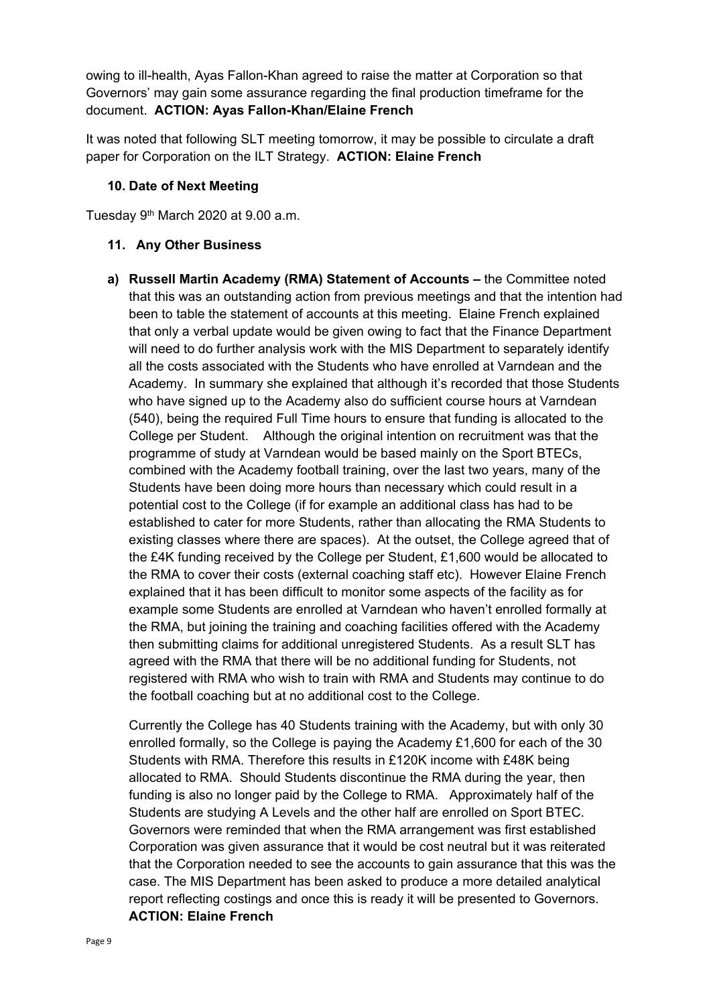owing to ill-health, Ayas Fallon-Khan agreed to raise the matter at Corporation so that Governors' may gain some assurance regarding the final production timeframe for the document. **ACTION: Ayas Fallon-Khan/Elaine French**

It was noted that following SLT meeting tomorrow, it may be possible to circulate a draft paper for Corporation on the ILT Strategy. **ACTION: Elaine French**

### **10. Date of Next Meeting**

Tuesday 9<sup>th</sup> March 2020 at 9.00 a.m.

#### **11. Any Other Business**

**a) Russell Martin Academy (RMA) Statement of Accounts –** the Committee noted that this was an outstanding action from previous meetings and that the intention had been to table the statement of accounts at this meeting. Elaine French explained that only a verbal update would be given owing to fact that the Finance Department will need to do further analysis work with the MIS Department to separately identify all the costs associated with the Students who have enrolled at Varndean and the Academy. In summary she explained that although it's recorded that those Students who have signed up to the Academy also do sufficient course hours at Varndean (540), being the required Full Time hours to ensure that funding is allocated to the College per Student. Although the original intention on recruitment was that the programme of study at Varndean would be based mainly on the Sport BTECs, combined with the Academy football training, over the last two years, many of the Students have been doing more hours than necessary which could result in a potential cost to the College (if for example an additional class has had to be established to cater for more Students, rather than allocating the RMA Students to existing classes where there are spaces). At the outset, the College agreed that of the £4K funding received by the College per Student, £1,600 would be allocated to the RMA to cover their costs (external coaching staff etc). However Elaine French explained that it has been difficult to monitor some aspects of the facility as for example some Students are enrolled at Varndean who haven't enrolled formally at the RMA, but joining the training and coaching facilities offered with the Academy then submitting claims for additional unregistered Students. As a result SLT has agreed with the RMA that there will be no additional funding for Students, not registered with RMA who wish to train with RMA and Students may continue to do the football coaching but at no additional cost to the College.

Currently the College has 40 Students training with the Academy, but with only 30 enrolled formally, so the College is paying the Academy £1,600 for each of the 30 Students with RMA. Therefore this results in £120K income with £48K being allocated to RMA. Should Students discontinue the RMA during the year, then funding is also no longer paid by the College to RMA. Approximately half of the Students are studying A Levels and the other half are enrolled on Sport BTEC. Governors were reminded that when the RMA arrangement was first established Corporation was given assurance that it would be cost neutral but it was reiterated that the Corporation needed to see the accounts to gain assurance that this was the case. The MIS Department has been asked to produce a more detailed analytical report reflecting costings and once this is ready it will be presented to Governors. **ACTION: Elaine French**